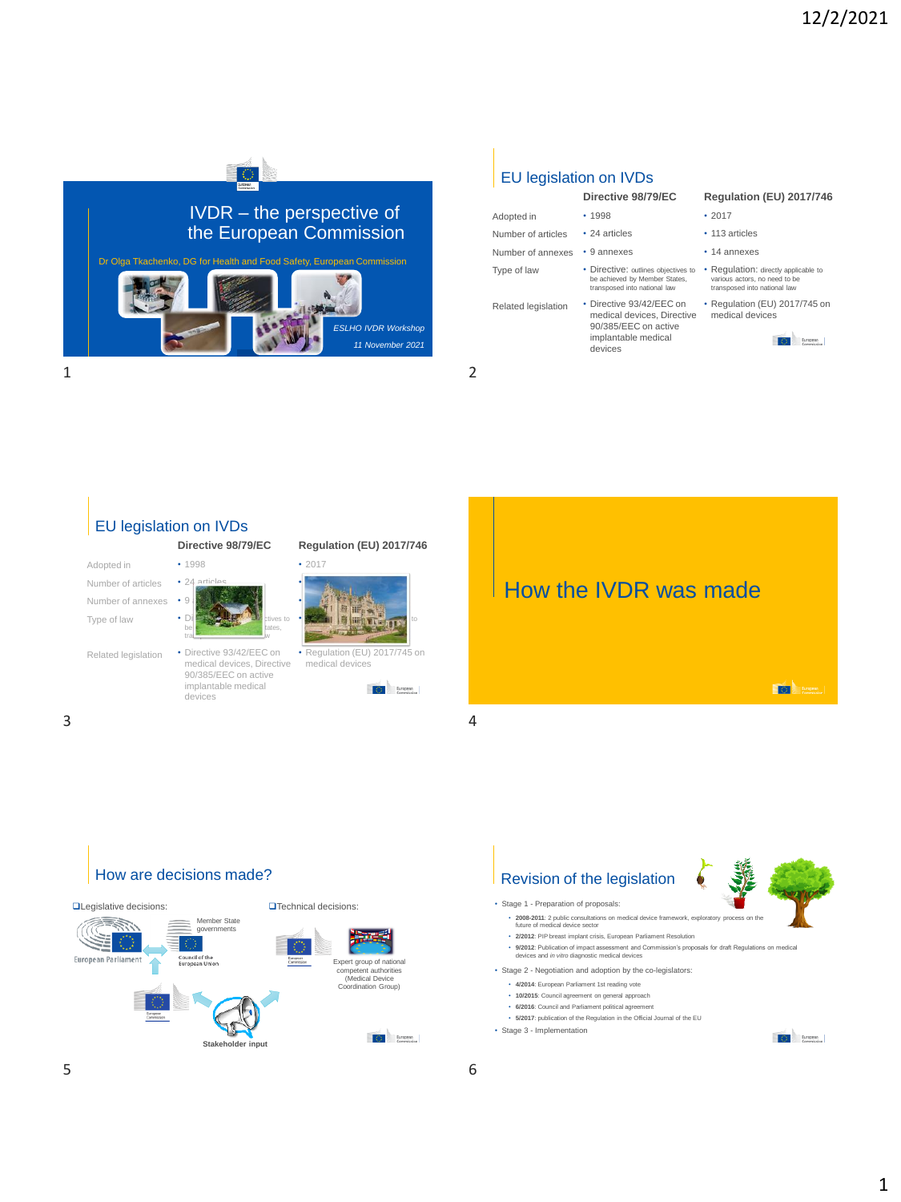

### EU legislation on IVDs

be achieved by Member States, transposed into national law

90/385/EEC on active implantable medical devices

#### Adopted in Number of articles Number of annexes • 9 annexes • 1998 • 24 articles

Type of law

Related legislation • Directive 93/42/EEC on

#### **Directive 98/79/EC Regulation (EU) 2017/746**

- 2017
- 113 articles
- 14 annexes
- Directive: outlines objectives to Regulation: directly applicable to various actors, no need to be transposed into national law
- medical devices, Directive medical devices • Regulation (EU) 2017/745 on







# How are decisions made?





- **2008-2011**: 2 public consultations on medical device framework, exploratory process on the future of medical device sector
- **2/2012**: PIP breast implant crisis, European Parliament Resolution
- **9/2012**: Publication of impact assessment and Commission's proposals for draft Regulations on medical devices and *in vitro* diagnostic medical devices
- Stage 2 Negotiation and adoption by the co-legislators:
	- **4/2014**: European Parliament 1st reading vote
	- **10/2015**: Council agreement on general approach
	- **6/2016**: Council and Parliament political agreement
- **5/2017**: publication of the Regulation in the Official Journal of the EU • Stage 3 - Implementation
- **C** European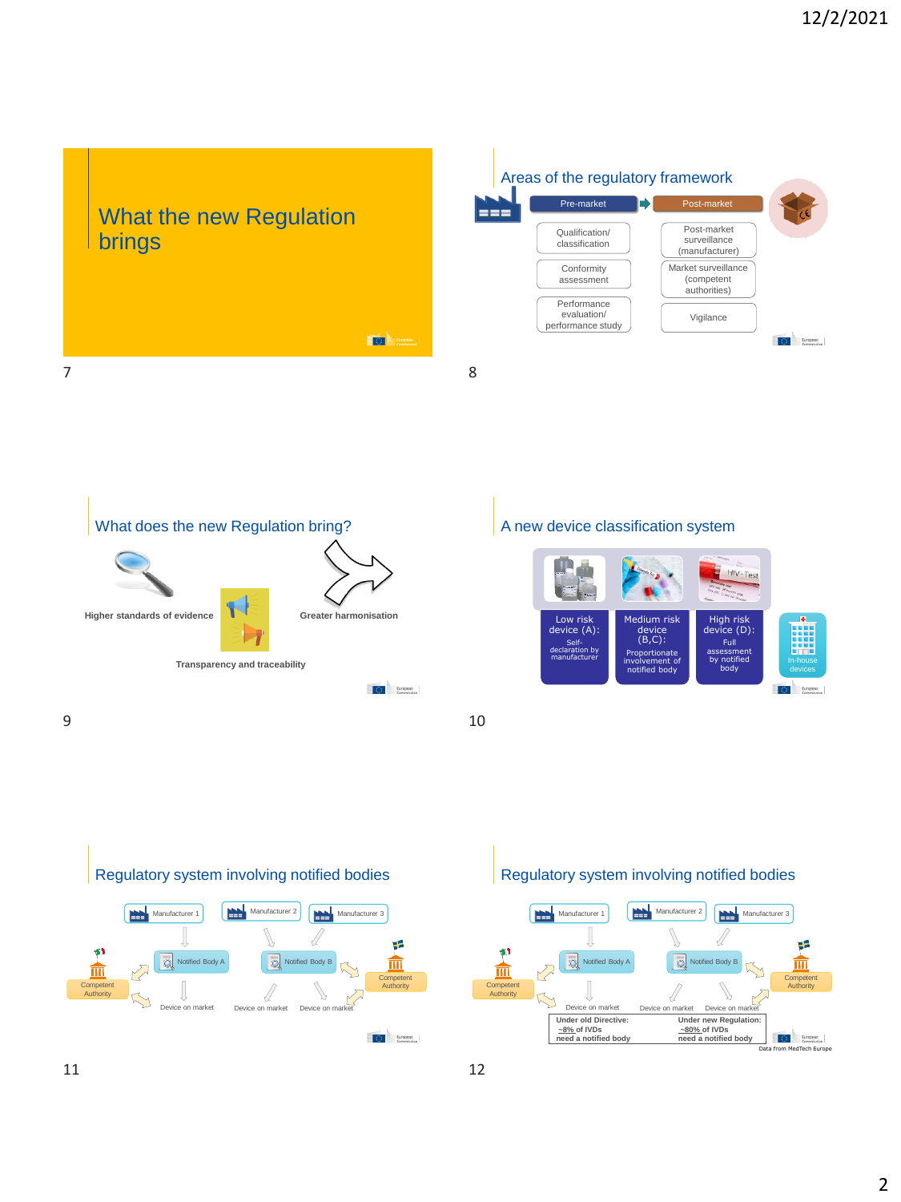# What the new Regulation brings







### A new device classification system





# Regulatory system involving notified bodies

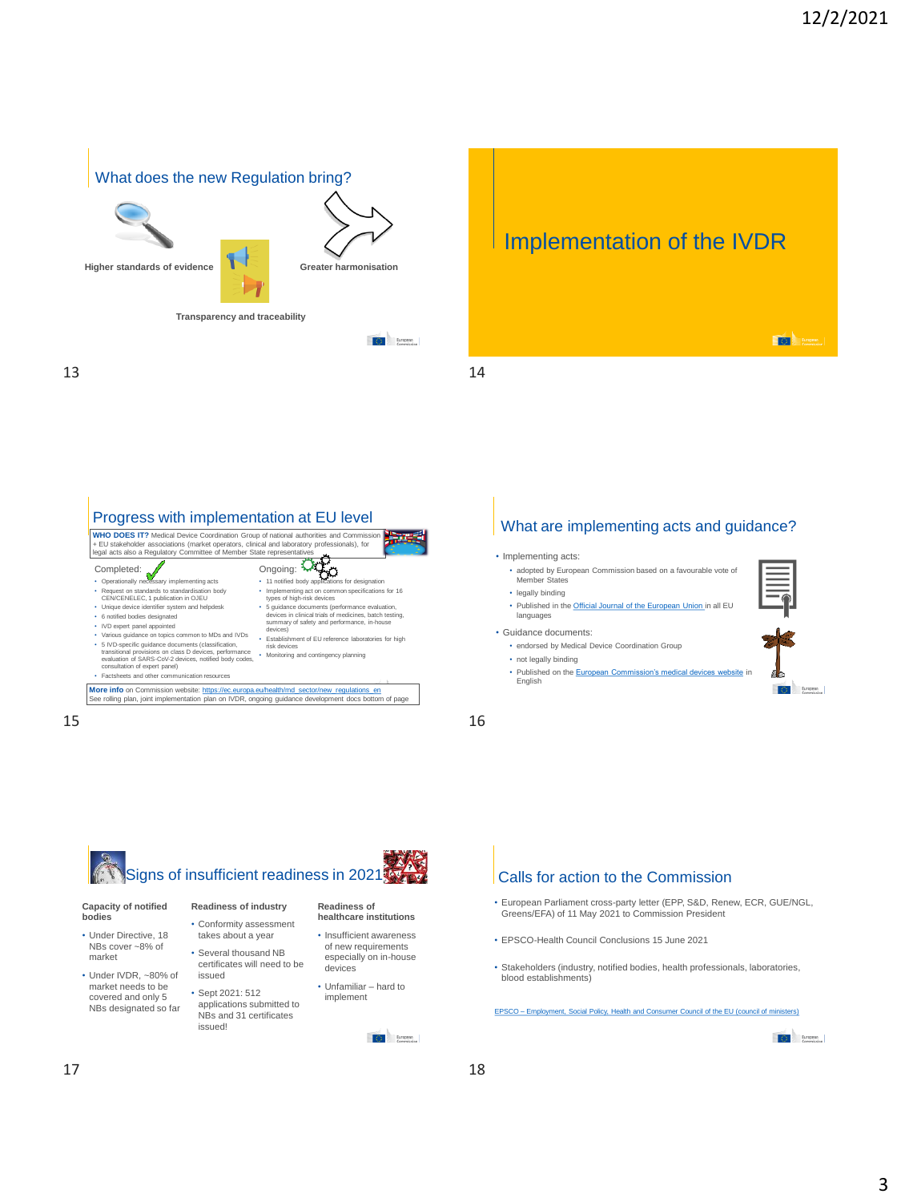$\overline{SO}$  and  $\overline{SO}$ 

**C** European



Implementation of the IVDR



### $15$  16

# • Implementing acts: What are implementing acts and guidance?

- adopted by European Commission based on a favourable vote of Member Sta
- legally binding • Published in the [Official Journal of the European Union i](https://eur-lex.europa.eu/oj/direct-access.html)n all EU languages
- Guidance documents:
	- endorsed by Medical Device Coordination Group
	- not legally binding
	- Published on the [European Commission's medical devices website](https://ec.europa.eu/health/md_sector/new_regulations/guidance_en) in English



• Conformity assessment takes about a year • Several thousand NB

issued • Sept 2021: 512 applications submitted to NBs and 31 certificates

issued!

#### **Capacity of notified bodies**

- Under Directive, 18 NBs cover ~8% of market
- Under IVDR, ~80% of market needs to be covered and only 5 NBs designated so far

**Readiness of healthcare institutions**

- certificates will need to be • Insufficient awareness of new requirements especially on in-house devices
	- Unfamiliar hard to implement

**C** European

### Calls for action to the Commission

- European Parliament cross-party letter (EPP, S&D, Renew, ECR, GUE/NGL, Greens/EFA) of 11 May 2021 to Commission President
- EPSCO-Health Council Conclusions 15 June 2021
- Stakeholders (industry, notified bodies, health professionals, laboratories, blood establishments)

EPSCO – [Employment, Social Policy, Health and Consumer Council of the EU \(council of ministers\)](https://www.consilium.europa.eu/en/council-eu/configurations/epsco/)

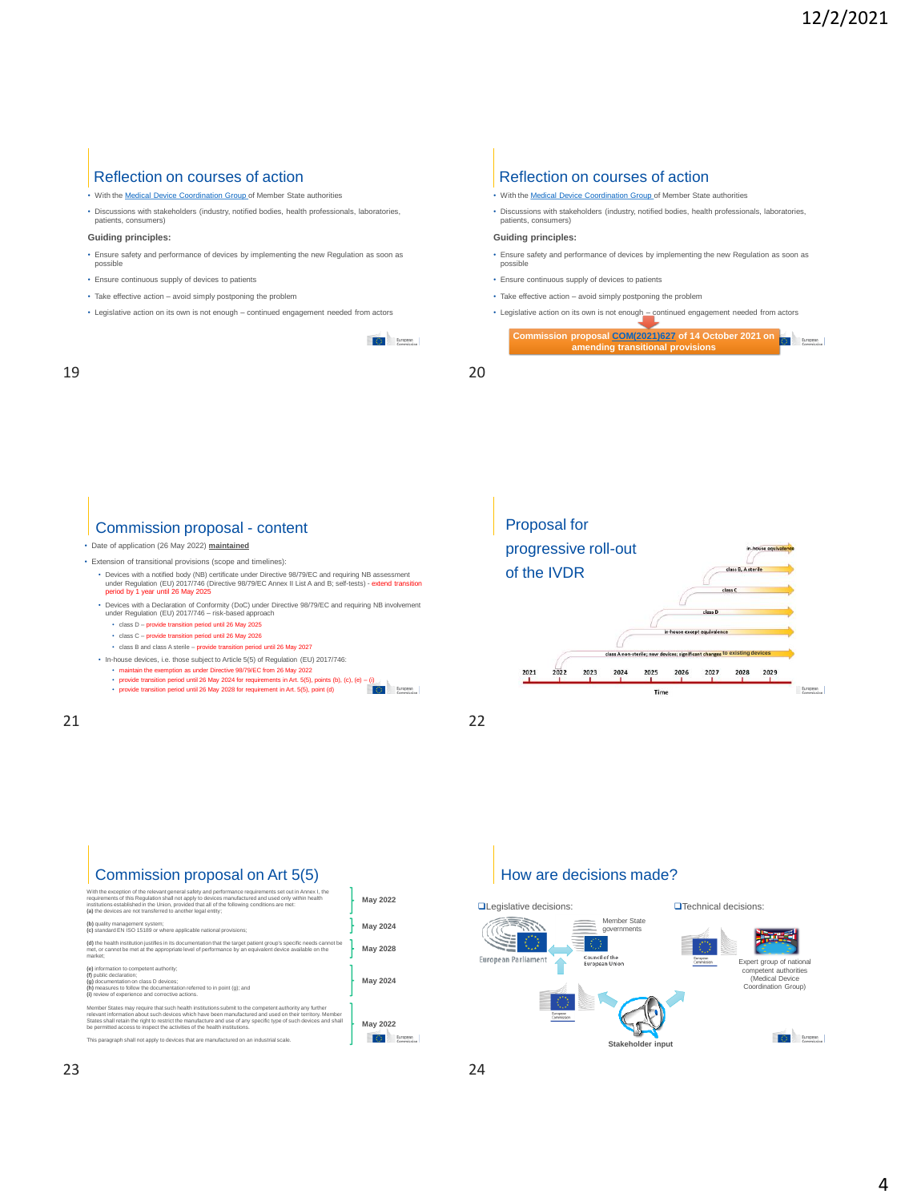#### Reflection on courses of action

- With the [Medical Device Coordination Group o](https://ec.europa.eu/health/md_dialogue/overview_en)f Member State authorities
- Discussions with stakeholders (industry, notified bodies, health professionals, laboratories, patients, consumers)

#### **Guiding principles:**

- Ensure safety and performance of devices by implementing the new Regulation as soon as possible
- Ensure continuous supply of devices to patients
- Take effective action avoid simply postponing the problem
- Legislative action on its own is not enough continued engagement needed from actors

**O** European

#### 19 20

#### Reflection on courses of action

- With the [Medical Device Coordination Group o](https://ec.europa.eu/health/md_dialogue/overview_en)f Member State authorities
- Discussions with stakeholders (industry, notified bodies, health professionals, laboratories, patients, consumers)

#### **Guiding principles:**

- Ensure safety and performance of devices by implementing the new Regulation as soon as possible
- Ensure continuous supply of devices to patients
- Take effective action avoid simply postponing the problem
- Legislative action on its own is not enough continued engagement needed from actors

| Commission proposal COM(2021)627 of 14 October 2021 on<br>amending transitional provisions |  |
|--------------------------------------------------------------------------------------------|--|
|                                                                                            |  |

### Commission proposal - content Proposal Proposal for

• Date of application (26 May 2022) **maintained**

• Extension of transitional provisions (scope and timelines):

- ∙ Devices with a notified body (NB) certificate under Directive 98/79/EC and requiring NB assessment<br>under Regulation (EU) 2017/746 (Directive 98/79/EC Annex II List A and B; self-tests) **extend transition**<br>p**eriod by**
- Devices with a Declaration of Conformity (DoC) under Directive 98/79/EC and requiring NB involvement under Regulation (EU) 2017/746 risk-based approach
	- class D provide transition period until 26 May 2025
	- class C provide transition period until 26 May 2026
- class B and class A sterile provide transition period until 26 May 2027
- In-house devices, i.e. those subject to Article 5(5) of Regulation (EU) 2017/746: maintain the exemption as under Directive 98/79/EC from 26 May 2022
	-
	- provide transition period until 26 May 2024 for requirements in Art. 5(5), points (b), (c), (e) (i) provide transition period until 26 May 2028 for requirement in Art. 5(5), point (d)

21 22



# Commission proposal on Art 5(5)

| With the exception of the relevant general safety and performance requirements set out in Annex I, the<br>requirements of this Requlation shall not apply to devices manufactured and used only within health<br>institutions established in the Union, provided that all of the following conditions are met:<br>(a) the devices are not transferred to another legal entity:                                     | <b>May 2022</b> |
|--------------------------------------------------------------------------------------------------------------------------------------------------------------------------------------------------------------------------------------------------------------------------------------------------------------------------------------------------------------------------------------------------------------------|-----------------|
| (b) quality management system:<br>(c) standard EN ISO 15189 or where applicable national provisions;                                                                                                                                                                                                                                                                                                               | <b>May 2024</b> |
| (d) the health institution justifies in its documentation that the target patient group's specific needs cannot be<br>met, or cannot be met at the appropriate level of performance by an equivalent device available on the<br>market:                                                                                                                                                                            | May 2028        |
| (e) information to competent authority:<br>(f) public declaration:<br>(a) documentation on class D devices:<br>(h) measures to follow the documentation referred to in point (g); and<br>(i) review of experience and corrective actions.                                                                                                                                                                          | <b>May 2024</b> |
| Member States may require that such health institutions submit to the competent authority any further<br>relevant information about such devices which have been manufactured and used on their territory. Member<br>States shall retain the right to restrict the manufacture and use of any specific type of such devices and shall<br>be permitted access to inspect the activities of the health institutions. | <b>May 2022</b> |
| This paragraph shall not apply to devices that are manufactured on an industrial scale.                                                                                                                                                                                                                                                                                                                            |                 |

### How are decisions made?

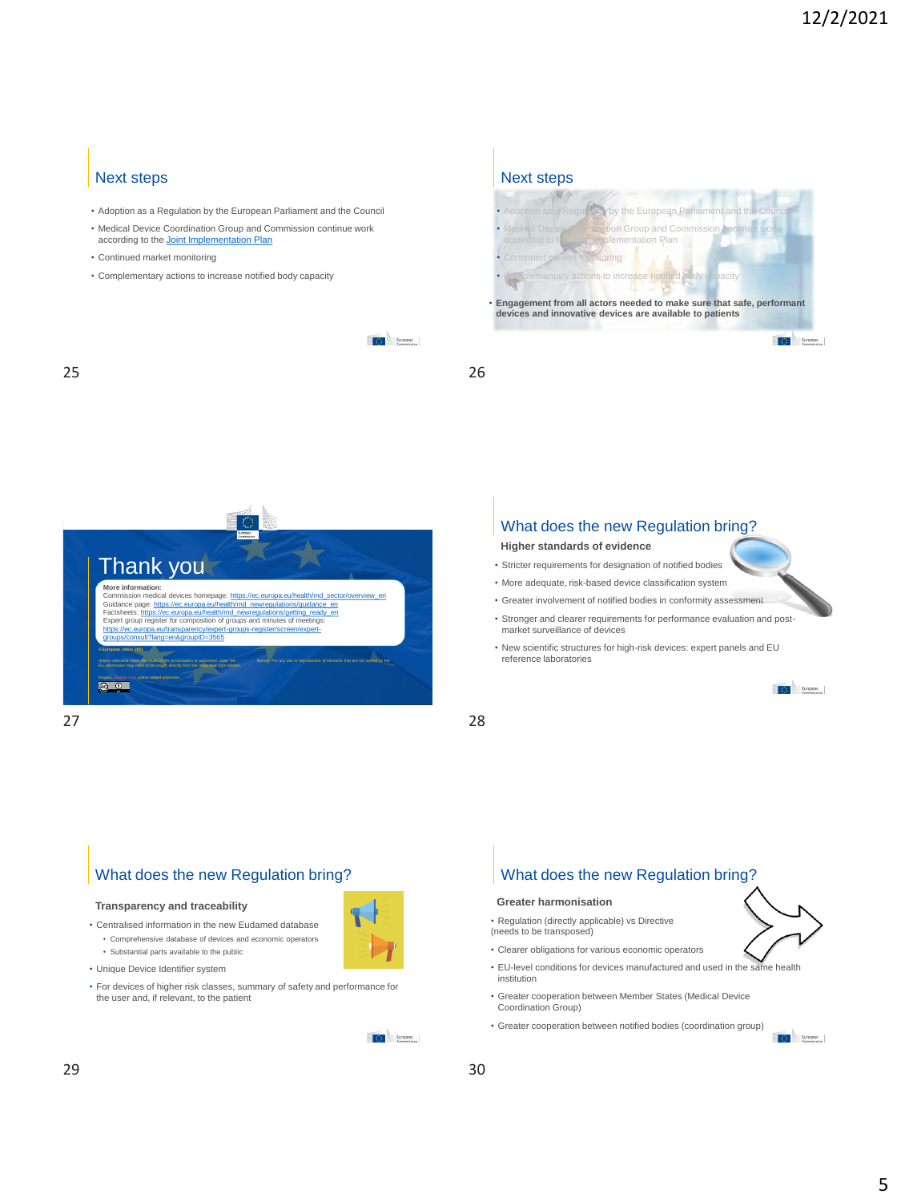### Next steps

- Adoption as a Regulation by the European Parliament and the Council
- Medical Device Coordination Group and Commission continue work according to the **[Joint Implementation Plan](https://ec.europa.eu/health/md_sector/new_regulations_en)**
- Continued market monitoring
- Complementary actions to increase notified body capacity





Next steps



27 28

### What does the new Regulation bring?

**Higher standards of evidence**

- Stricter requirements for designation of notified bodies
- More adequate, risk-based device classification system
- Greater involvement of notified bodies in conformity assessment
- Stronger and clearer requirements for performance evaluation and postmarket surveillance of devices
- New scientific structures for high-risk devices: expert panels and EU reference laboratories



# What does the new Regulation bring?

#### **Transparency and traceability**

• Centralised information in the new Eudamed database • Comprehensive database of devices and economic operators

- Substantial parts available to the public
- Unique Device Identifier system
- For devices of higher risk classes, summary of safety and performance for the user and, if relevant, to the patient



# What does the new Regulation bring?

#### **Greater harmonisation**

• Regulation (directly applicable) vs Directive (needs to be transposed)

- Clearer obligations for various economic operators
- EU-level conditions for devices manufactured and used in the same health institution
- Greater cooperation between Member States (Medical Device Coordination Group)
- Greater cooperation between notified bodies (coordination group)